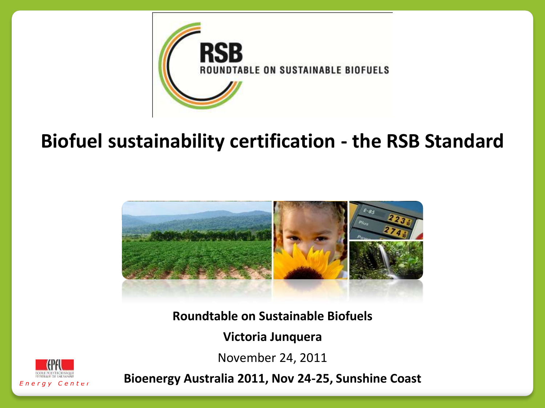

### **Biofuel sustainability certification - the RSB Standard**



**Roundtable on Sustainable Biofuels**

**Victoria Junquera**

November 24, 2011



**Bioenergy Australia 2011, Nov 24-25, Sunshine Coast**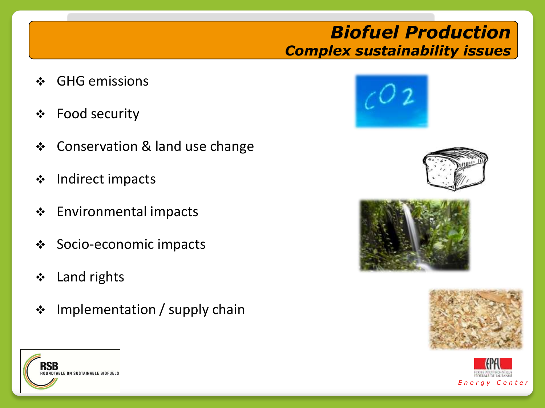#### *Biofuel Production Complex sustainability issues*

- ❖ GHG emissions
- Food security
- **❖** Conservation & land use change
- ❖ Indirect impacts
- Environmental impacts
- Socio-economic impacts
- Land rights
- $\div$  Implementation / supply chain











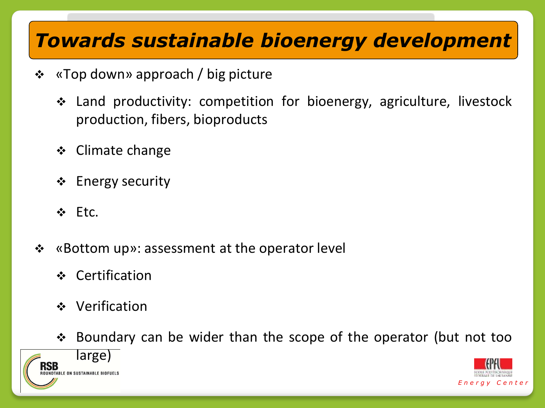## *Towards sustainable bioenergy development*

- «Top down» approach / big picture
	- Land productivity: competition for bioenergy, agriculture, livestock production, fibers, bioproducts
	- $\div$  Climate change
	- $\div$  Energy security
	- ❖ Etc.
- «Bottom up»: assessment at the operator level
	- Certification
	- Verification
	- Boundary can be wider than the scope of the operator (but not too



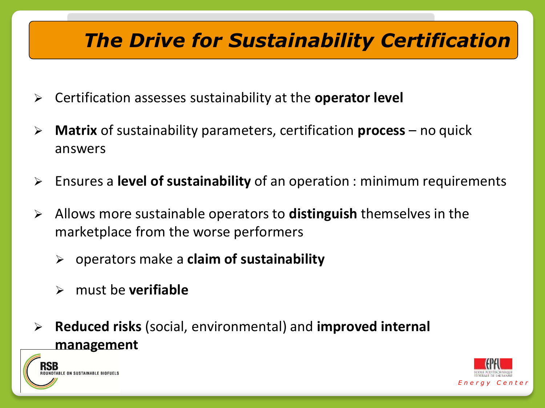## *The Drive for Sustainability Certification*

- Certification assesses sustainability at the **operator level**
- **Matrix** of sustainability parameters, certification **process** no quick answers
- Ensures a **level of sustainability** of an operation : minimum requirements
- Allows more sustainable operators to **distinguish** themselves in the marketplace from the worse performers
	- operators make a **claim of sustainability**
	- must be **verifiable**
- **Reduced risks** (social, environmental) and **improved internal management**



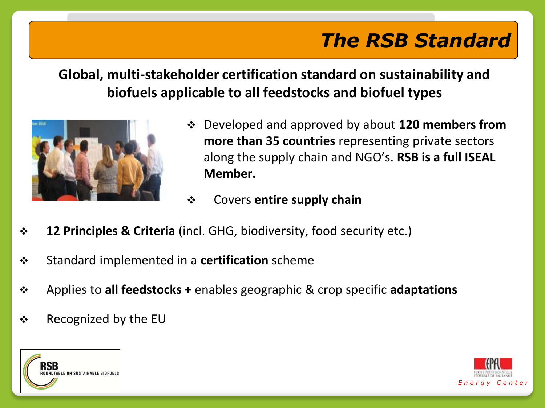# *The RSB Standard*

#### **Global, multi-stakeholder certification standard on sustainability and biofuels applicable to all feedstocks and biofuel types**



- Developed and approved by about **120 members from more than 35 countries** representing private sectors along the supply chain and NGO's. **RSB is a full ISEAL Member.**
- Covers **entire supply chain**
- **12 Principles & Criteria** (incl. GHG, biodiversity, food security etc.)
- Standard implemented in a **certification** scheme
- Applies to **all feedstocks +** enables geographic & crop specific **adaptations**
- $\div$  Recognized by the EU



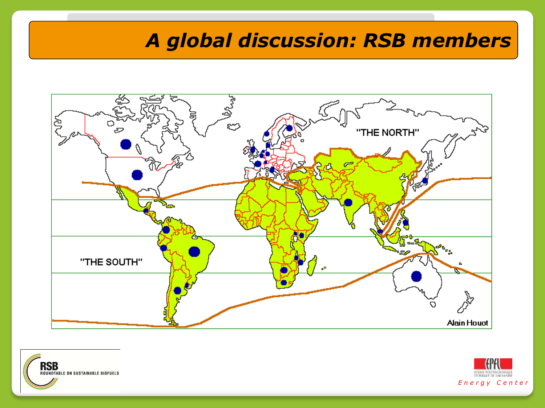## *A global discussion: RSB members*





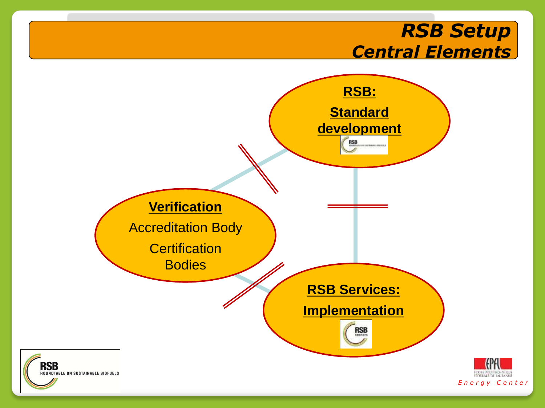#### *RSB Setup Central Elements*

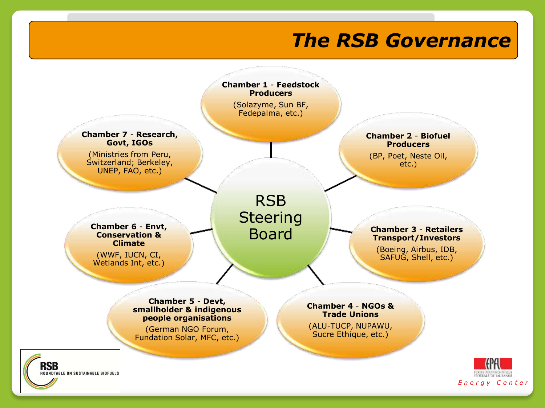#### *The RSB Governance*

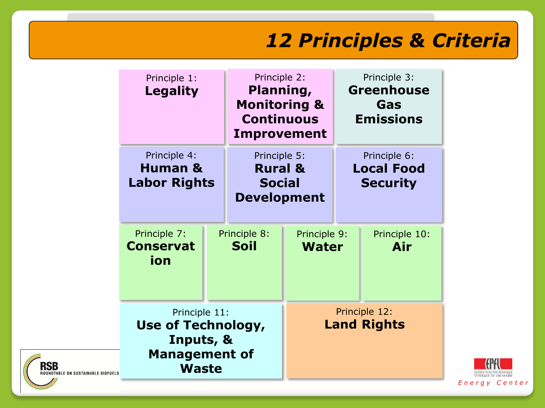## *12 Principles & Criteria*

|                                                                | Principle 1:<br><b>Legality</b><br>Principle 4:<br><b>Human &amp;</b><br><b>Labor Rights</b> |  | Principle 2:<br>Planning,<br><b>Monitoring &amp;</b><br><b>Continuous</b><br>Improvement |                                     | Principle 3:<br><b>Greenhouse</b><br>Gas<br><b>Emissions</b> |                      |
|----------------------------------------------------------------|----------------------------------------------------------------------------------------------|--|------------------------------------------------------------------------------------------|-------------------------------------|--------------------------------------------------------------|----------------------|
|                                                                |                                                                                              |  | Principle 5:<br><b>Rural &amp;</b><br><b>Social</b><br><b>Development</b>                |                                     | Principle 6:<br><b>Local Food</b><br><b>Security</b>         |                      |
|                                                                | Principle 7:<br><b>Conservat</b><br>ion                                                      |  | Principle 8:<br>Soil                                                                     | Principle 9:<br><b>Water</b>        |                                                              | Principle 10:<br>Air |
| <b>RSB</b><br><b><i>COUNDTABLE ON SUSTAINABLE BIOFUELS</i></b> | Principle 11:<br>Use of Technology,<br>Inputs, &<br><b>Management of</b><br><b>Waste</b>     |  |                                                                                          | Principle 12:<br><b>Land Rights</b> |                                                              |                      |

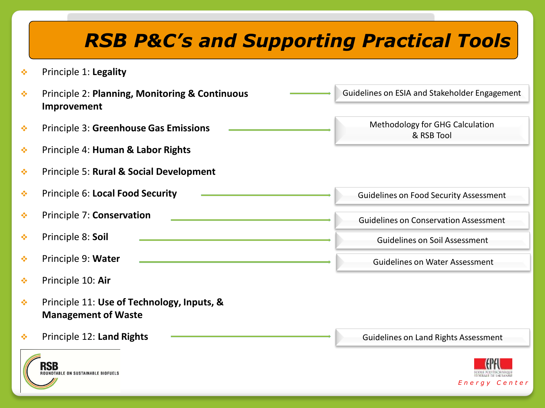## *RSB P&C's and Supporting Practical Tools*

- Principle 1: **Legality**
- Principle 2: **Planning, Monitoring & Continuous Improvement** Principle 3: **Greenhouse Gas Emissions**  Guidelines on ESIA and Stakeholder Engagement Methodology for GHG Calculation & RSB Tool
- Principle 4: **Human & Labor Rights**
- Principle 5: **Rural & Social Development**
- Principle 6: **Local Food Security**
- Principle 7: **Conservation**
- Principle 8: **Soil**
- Principle 9: **Water**
- Principle 10: **Air**
- Principle 11: **Use of Technology, Inputs, & Management of Waste**
- Principle 12: **Land Rights**





Guidelines on Food Security Assessment

Guidelines on Conservation Assessment

Guidelines on Soil Assessment

Guidelines on Water Assessment

Guidelines on Land Rights Assessment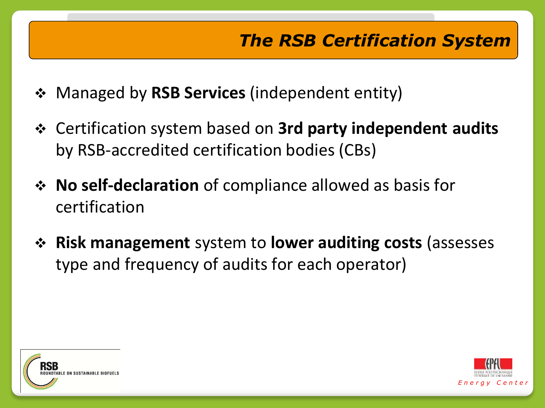## *The RSB Certification System*

- Managed by **RSB Services** (independent entity)
- Certification system based on **3rd party independent audits**  by RSB-accredited certification bodies (CBs)
- **No self-declaration** of compliance allowed as basis for certification
- **Risk management** system to **lower auditing costs** (assesses type and frequency of audits for each operator)



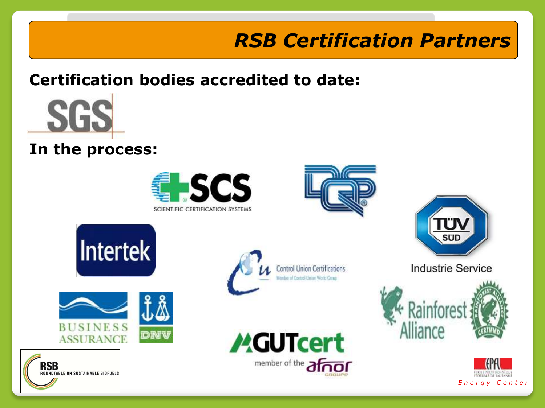# *RSB Certification Partners*

#### **Certification bodies accredited to date:**



#### **In the process:**

















**Industrie Service** 



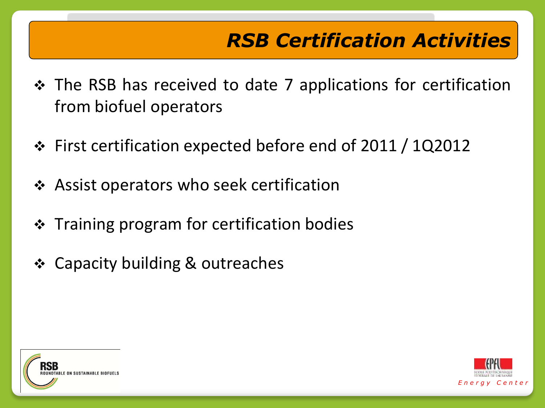# *RSB Certification Activities*

- ◆ The RSB has received to date 7 applications for certification from biofuel operators
- First certification expected before end of 2011 / 1Q2012
- Assist operators who seek certification
- **❖** Training program for certification bodies
- ❖ Capacity building & outreaches



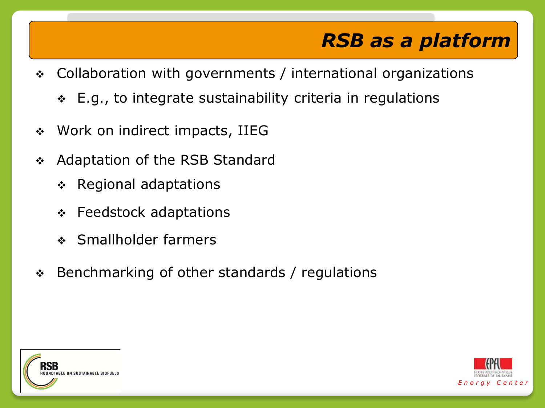## *RSB as a platform*

- Collaboration with governments / international organizations
	- E.g., to integrate sustainability criteria in regulations
- ◆ Work on indirect impacts, IIEG
- ◆ Adaptation of the RSB Standard
	- **↑ Regional adaptations**
	- Feedstock adaptations
	- Smallholder farmers
- Benchmarking of other standards / regulations



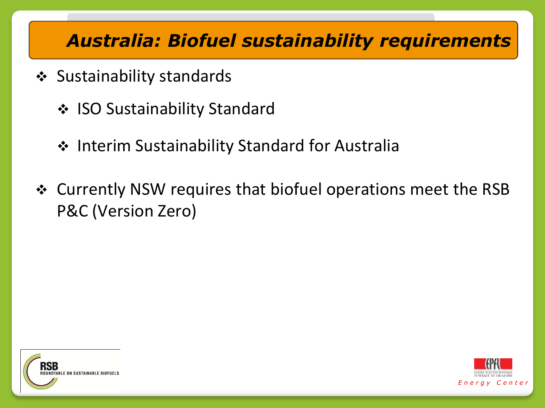#### *Australia: Biofuel sustainability requirements*

- ❖ Sustainability standards
	- ❖ ISO Sustainability Standard
	- Interim Sustainability Standard for Australia
- Currently NSW requires that biofuel operations meet the RSB P&C (Version Zero)



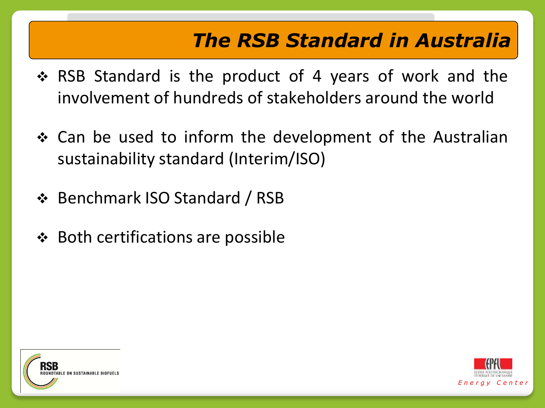## *The RSB Standard in Australia*

- ◆ RSB Standard is the product of 4 years of work and the involvement of hundreds of stakeholders around the world
- ❖ Can be used to inform the development of the Australian sustainability standard (Interim/ISO)
- Benchmark ISO Standard / RSB
- $\div$  Both certifications are possible



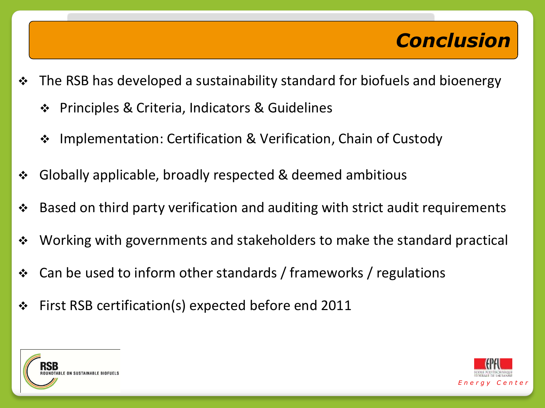## *Conclusion*

- $\div$  The RSB has developed a sustainability standard for biofuels and bioenergy
	- Principles & Criteria, Indicators & Guidelines
	- ❖ Implementation: Certification & Verification, Chain of Custody
- Globally applicable, broadly respected & deemed ambitious
- Based on third party verification and auditing with strict audit requirements
- ◆ Working with governments and stakeholders to make the standard practical
- Can be used to inform other standards / frameworks / regulations
- First RSB certification(s) expected before end 2011